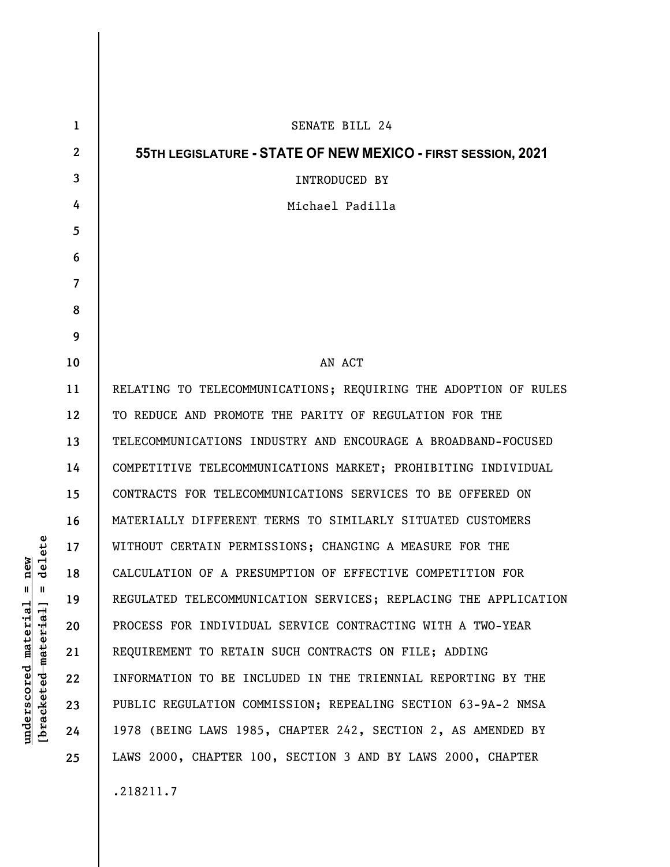| $\mathbf 1$  | SENATE BILL 24                                                  |
|--------------|-----------------------------------------------------------------|
| $\mathbf{2}$ | 55TH LEGISLATURE - STATE OF NEW MEXICO - FIRST SESSION, 2021    |
| 3            | <b>INTRODUCED BY</b>                                            |
| 4            | Michael Padilla                                                 |
| 5            |                                                                 |
| 6            |                                                                 |
| 7            |                                                                 |
| 8            |                                                                 |
| 9            |                                                                 |
| 10           | AN ACT                                                          |
| 11           | RELATING TO TELECOMMUNICATIONS; REQUIRING THE ADOPTION OF RULES |
| 12           | TO REDUCE AND PROMOTE THE PARITY OF REGULATION FOR THE          |
| 13           | TELECOMMUNICATIONS INDUSTRY AND ENCOURAGE A BROADBAND-FOCUSED   |
| 14           | COMPETITIVE TELECOMMUNICATIONS MARKET; PROHIBITING INDIVIDUAL   |
| 15           | CONTRACTS FOR TELECOMMUNICATIONS SERVICES TO BE OFFERED ON      |
| 16           | MATERIALLY DIFFERENT TERMS TO SIMILARLY SITUATED CUSTOMERS      |
| 17           | WITHOUT CERTAIN PERMISSIONS; CHANGING A MEASURE FOR THE         |
| 18           | CALCULATION OF A PRESUMPTION OF EFFECTIVE COMPETITION FOR       |
| 19           | REGULATED TELECOMMUNICATION SERVICES; REPLACING THE APPLICATION |
| 20           | PROCESS FOR INDIVIDUAL SERVICE CONTRACTING WITH A TWO-YEAR      |
| 21           | REQUIREMENT TO RETAIN SUCH CONTRACTS ON FILE; ADDING            |
| 22           | INFORMATION TO BE INCLUDED IN THE TRIENNIAL REPORTING BY THE    |
| 23           | PUBLIC REGULATION COMMISSION; REPEALING SECTION 63-9A-2 NMSA    |
| 24           | 1978 (BEING LAWS 1985, CHAPTER 242, SECTION 2, AS AMENDED BY    |
| 25           | LAWS 2000, CHAPTER 100, SECTION 3 AND BY LAWS 2000, CHAPTER     |
|              | .218211.7                                                       |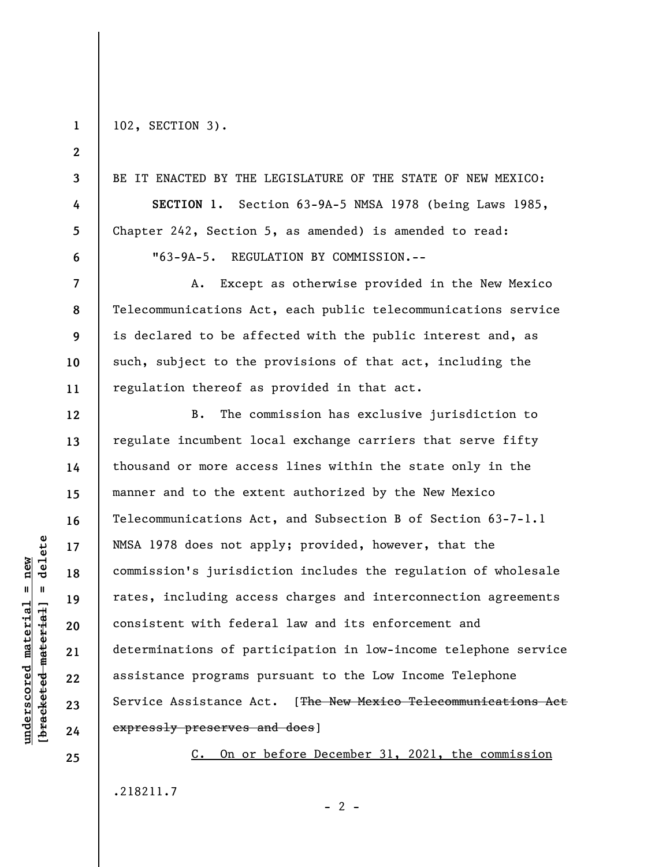**1 2** 

**3** 

**4** 

**5** 

**6** 

**7** 

**8** 

**9** 

**10** 

**11** 

**12** 

**13** 

**14** 

**15** 

**16** 

**17** 

**18** 

**19** 

**20** 

**21** 

**22** 

**23** 

**24** 

**25** 

102, SECTION 3).

BE IT ENACTED BY THE LEGISLATURE OF THE STATE OF NEW MEXICO: **SECTION 1.** Section 63-9A-5 NMSA 1978 (being Laws 1985, Chapter 242, Section 5, as amended) is amended to read: "63-9A-5. REGULATION BY COMMISSION.--

A. Except as otherwise provided in the New Mexico Telecommunications Act, each public telecommunications service is declared to be affected with the public interest and, as such, subject to the provisions of that act, including the regulation thereof as provided in that act.

B. The commission has exclusive jurisdiction to regulate incumbent local exchange carriers that serve fifty thousand or more access lines within the state only in the manner and to the extent authorized by the New Mexico Telecommunications Act, and Subsection B of Section 63-7-1.1 NMSA 1978 does not apply; provided, however, that the commission's jurisdiction includes the regulation of wholesale rates, including access charges and interconnection agreements consistent with federal law and its enforcement and determinations of participation in low-income telephone service assistance programs pursuant to the Low Income Telephone Service Assistance Act. [The New Mexico Telecommunications Act expressly preserves and does]

C. On or before December 31, 2021, the commission .218211.7

 $\frac{1}{2}$  intereted material = delete **[bracketed material] = delete**  $underscored material = new$ **underscored material = new**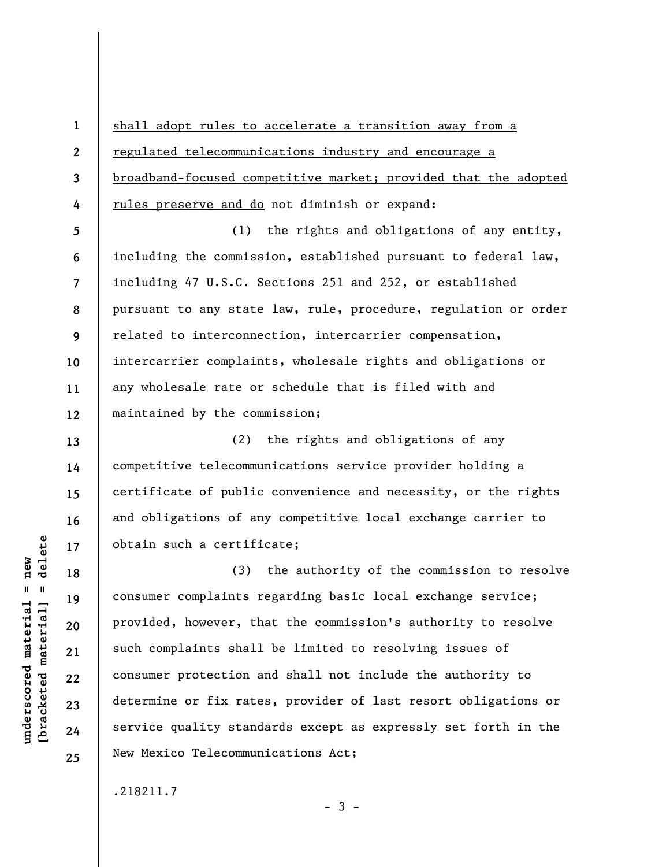**1 2 3 4**  shall adopt rules to accelerate a transition away from a regulated telecommunications industry and encourage a broadband-focused competitive market; provided that the adopted rules preserve and do not diminish or expand:

**5 6 7 8 9 10 11 12**  (1) the rights and obligations of any entity, including the commission, established pursuant to federal law, including 47 U.S.C. Sections 251 and 252, or established pursuant to any state law, rule, procedure, regulation or order related to interconnection, intercarrier compensation, intercarrier complaints, wholesale rights and obligations or any wholesale rate or schedule that is filed with and maintained by the commission;

(2) the rights and obligations of any competitive telecommunications service provider holding a certificate of public convenience and necessity, or the rights and obligations of any competitive local exchange carrier to obtain such a certificate;

(3) the authority of the commission to resolve consumer complaints regarding basic local exchange service; provided, however, that the commission's authority to resolve such complaints shall be limited to resolving issues of consumer protection and shall not include the authority to determine or fix rates, provider of last resort obligations or service quality standards except as expressly set forth in the New Mexico Telecommunications Act;

 $-3 -$ 

.218211.7

 $\frac{1}{2}$  intereted material = delete **[bracketed material] = delete**  $underscored material = new$ **underscored material = new**

**13** 

**14** 

**15** 

**16** 

**17** 

**18** 

**19** 

**20** 

**21** 

**22** 

**23** 

**24**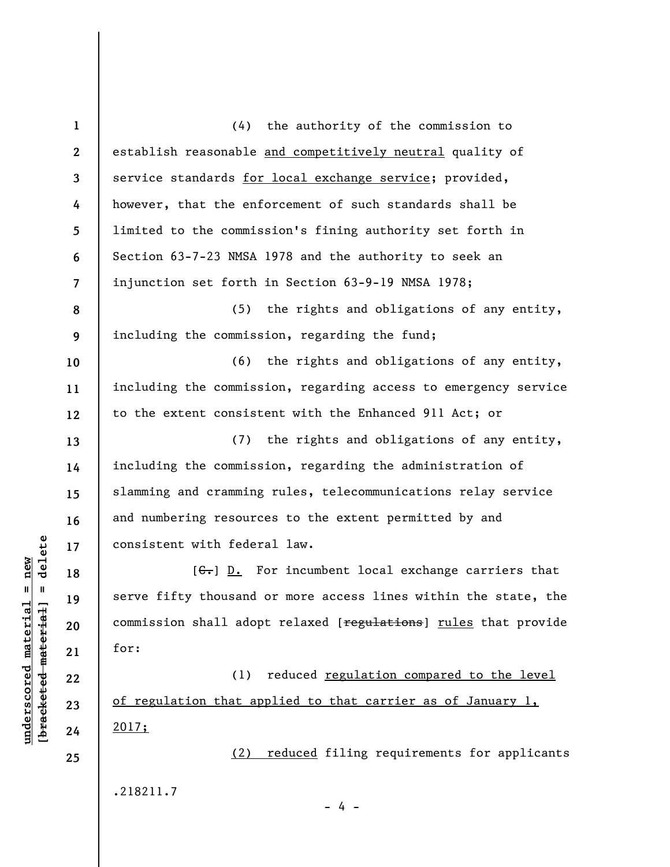| $\mathbf{1}$             | (4) the authority of the commission to                                  |
|--------------------------|-------------------------------------------------------------------------|
| $\mathbf{2}$             | establish reasonable and competitively neutral quality of               |
| 3                        | service standards for local exchange service; provided,                 |
| 4                        | however, that the enforcement of such standards shall be                |
| 5                        | limited to the commission's fining authority set forth in               |
| 6                        | Section 63-7-23 NMSA 1978 and the authority to seek an                  |
| $\overline{\phantom{a}}$ | injunction set forth in Section 63-9-19 NMSA 1978;                      |
| 8                        | (5) the rights and obligations of any entity,                           |
| 9                        | including the commission, regarding the fund;                           |
| 10                       | (6) the rights and obligations of any entity,                           |
| 11                       | including the commission, regarding access to emergency service         |
| 12                       | to the extent consistent with the Enhanced 911 Act; or                  |
| 13                       | (7) the rights and obligations of any entity,                           |
| 14                       | including the commission, regarding the administration of               |
| 15                       | slamming and cramming rules, telecommunications relay service           |
| 16                       | and numbering resources to the extent permitted by and                  |
| 17                       | consistent with federal law.                                            |
| 18                       | $[\theta_{\overline{x}}]$ D. For incumbent local exchange carriers that |
| 19                       | serve fifty thousand or more access lines within the state, the         |
| 20                       | commission shall adopt relaxed [regulations] rules that provide         |
| 21                       | for:                                                                    |
| 22                       | reduced regulation compared to the level<br>(1)                         |
| 23                       | of regulation that applied to that carrier as of January 1,             |
| 24                       | 2017;                                                                   |
| 25                       | reduced filing requirements for applicants<br>(2)                       |
|                          | .218211.7                                                               |
|                          | - 4 -                                                                   |

 $[**bracket** etc.**eted** meter $at$ ]. = delete$ **[bracketed material] = delete**  $underscored material = new$ **underscored material = new**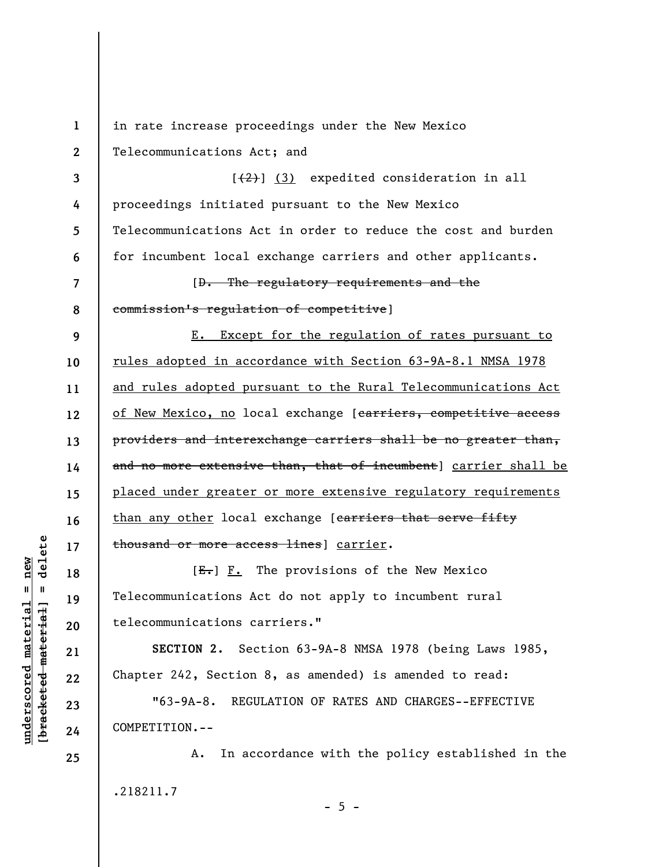**1 2**  in rate increase proceedings under the New Mexico Telecommunications Act; and

**3**   $[\frac{1}{2}]$  (3) expedited consideration in all proceedings initiated pursuant to the New Mexico Telecommunications Act in order to reduce the cost and burden for incumbent local exchange carriers and other applicants.

[D. The regulatory requirements and the commission's regulation of competitive]

**9 10 11 12 13 14 15 16 17**  E. Except for the regulation of rates pursuant to rules adopted in accordance with Section 63-9A-8.1 NMSA 1978 and rules adopted pursuant to the Rural Telecommunications Act of New Mexico, no local exchange [carriers, competitive access providers and interexchange carriers shall be no greater than, and no more extensive than, that of incumbent] carrier shall be placed under greater or more extensive regulatory requirements than any other local exchange [carriers that serve fifty thousand or more access lines] carrier.

 $[E-]$   $F.$  The provisions of the New Mexico Telecommunications Act do not apply to incumbent rural telecommunications carriers."

**SECTION 2.** Section 63-9A-8 NMSA 1978 (being Laws 1985, Chapter 242, Section 8, as amended) is amended to read:

"63-9A-8. REGULATION OF RATES AND CHARGES--EFFECTIVE COMPETITION.--

A. In accordance with the policy established in the .218211.7  $- 5 -$ 

 $\frac{1}{2}$  of  $\frac{1}{2}$  and  $\frac{1}{2}$  and  $\frac{1}{2}$  and  $\frac{1}{2}$  and  $\frac{1}{2}$  and  $\frac{1}{2}$  and  $\frac{1}{2}$  and  $\frac{1}{2}$  and  $\frac{1}{2}$  and  $\frac{1}{2}$  and  $\frac{1}{2}$  and  $\frac{1}{2}$  and  $\frac{1}{2}$  and  $\frac{1}{2}$  and  $\frac{1}{2}$  an **[bracketed material] = delete**  $underscored material = new$ **underscored material = new**

**24 25** 

**18** 

**19** 

**20** 

**21** 

**22** 

**23** 

**4** 

**5** 

**6** 

**7**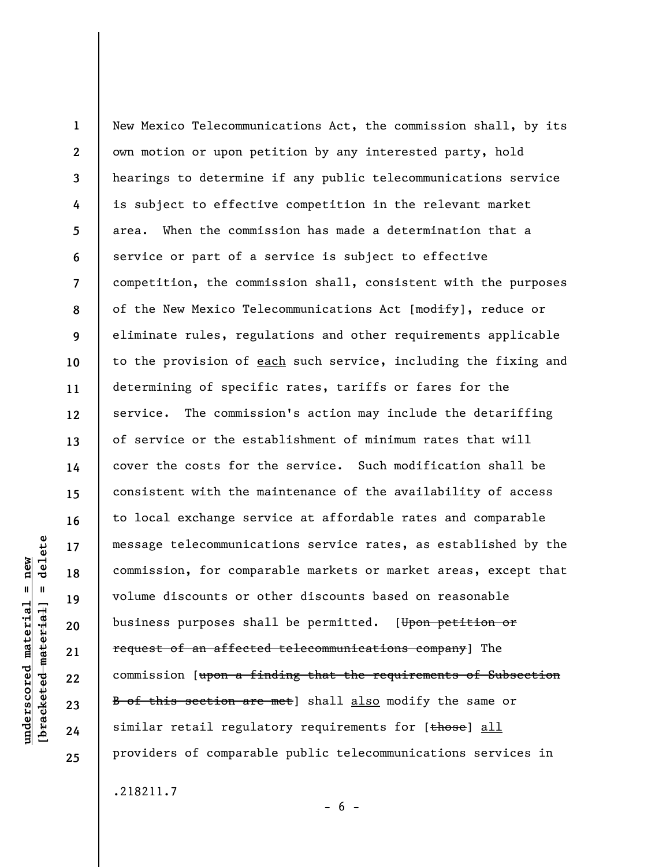**1 2 3 4 5 6 7 8 9 10 11 12 13 14 15 16 17 18 19 20 21 22 23 24 25**  New Mexico Telecommunications Act, the commission shall, by its own motion or upon petition by any interested party, hold hearings to determine if any public telecommunications service is subject to effective competition in the relevant market area. When the commission has made a determination that a service or part of a service is subject to effective competition, the commission shall, consistent with the purposes of the New Mexico Telecommunications Act [modify], reduce or eliminate rules, regulations and other requirements applicable to the provision of each such service, including the fixing and determining of specific rates, tariffs or fares for the service. The commission's action may include the detariffing of service or the establishment of minimum rates that will cover the costs for the service. Such modification shall be consistent with the maintenance of the availability of access to local exchange service at affordable rates and comparable message telecommunications service rates, as established by the commission, for comparable markets or market areas, except that volume discounts or other discounts based on reasonable business purposes shall be permitted. [Upon petition or request of an affected telecommunications company] The commission [upon a finding that the requirements of Subsection B of this section are met] shall also modify the same or similar retail regulatory requirements for  $[t$ hose] all providers of comparable public telecommunications services in

.218211.7

delete **[bracketed material] = delete**  $underscored material = new$ **underscored material = new**  $\mathbf{I}$ bracketed material

 $- 6 -$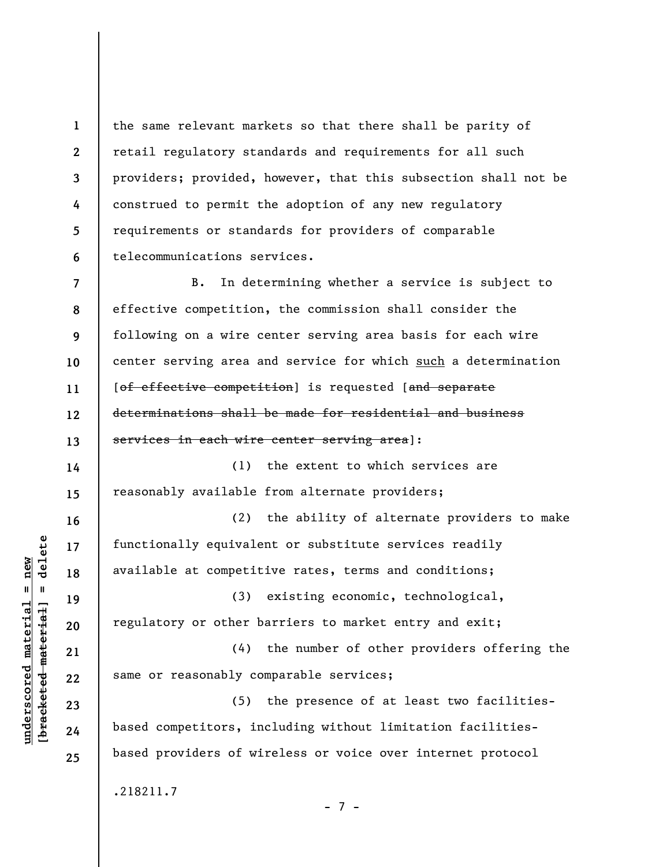**1 2 3 4 5 6**  the same relevant markets so that there shall be parity of retail regulatory standards and requirements for all such providers; provided, however, that this subsection shall not be construed to permit the adoption of any new regulatory requirements or standards for providers of comparable telecommunications services.

**7 8 9 10 11 12 13**  B. In determining whether a service is subject to effective competition, the commission shall consider the following on a wire center serving area basis for each wire center serving area and service for which such a determination [of effective competition] is requested [and separate determinations shall be made for residential and business services in each wire center serving area]:

(1) the extent to which services are reasonably available from alternate providers;

(2) the ability of alternate providers to make functionally equivalent or substitute services readily available at competitive rates, terms and conditions;

(3) existing economic, technological, regulatory or other barriers to market entry and exit;

(4) the number of other providers offering the same or reasonably comparable services;

(5) the presence of at least two facilitiesbased competitors, including without limitation facilitiesbased providers of wireless or voice over internet protocol

- 7 -

.218211.7

 $\frac{1}{2}$  intereted material = delete **[bracketed material] = delete**  $underscored material = new$ **underscored material = new**

**14** 

**15** 

**16** 

**17** 

**18** 

**19** 

**20** 

**21** 

**22** 

**23** 

**24**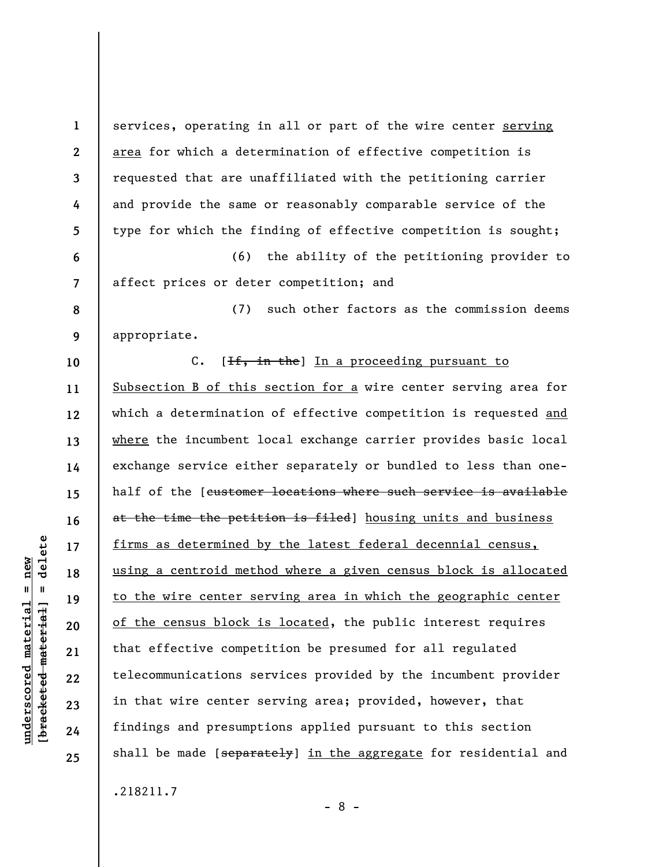**1 2 3 4 5 6 7 8 9 10 11 12 13 14 15 16 17 18 19 20 21 22 23 24 25**  services, operating in all or part of the wire center serving area for which a determination of effective competition is requested that are unaffiliated with the petitioning carrier and provide the same or reasonably comparable service of the type for which the finding of effective competition is sought; (6) the ability of the petitioning provider to affect prices or deter competition; and (7) such other factors as the commission deems appropriate. C. [<del>If, in the</del>] In a proceeding pursuant to Subsection B of this section for a wire center serving area for which a determination of effective competition is requested and where the incumbent local exchange carrier provides basic local exchange service either separately or bundled to less than onehalf of the [customer locations where such service is available at the time the petition is filed] housing units and business firms as determined by the latest federal decennial census, using a centroid method where a given census block is allocated to the wire center serving area in which the geographic center of the census block is located, the public interest requires that effective competition be presumed for all regulated telecommunications services provided by the incumbent provider in that wire center serving area; provided, however, that findings and presumptions applied pursuant to this section shall be made [separately] in the aggregate for residential and

- 8 -

.218211.7

 $\frac{1}{2}$  intereted material = delete **[bracketed material] = delete**  $underscored material = new$ **underscored material = new**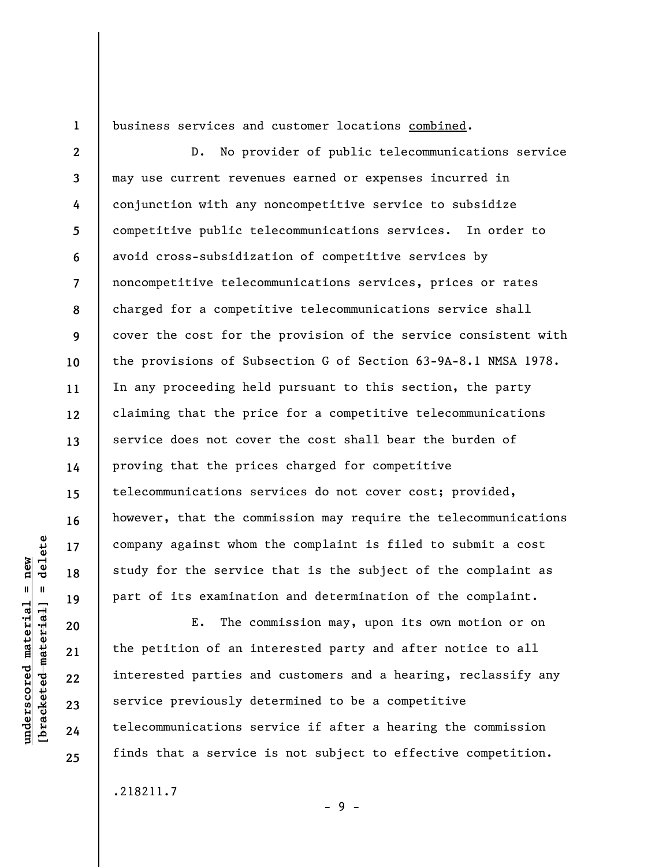**1** 

business services and customer locations combined.

**2 3 4 5 6 7 8 9 10 11 12 13 14 15 16 17 18 19**  D. No provider of public telecommunications service may use current revenues earned or expenses incurred in conjunction with any noncompetitive service to subsidize competitive public telecommunications services. In order to avoid cross-subsidization of competitive services by noncompetitive telecommunications services, prices or rates charged for a competitive telecommunications service shall cover the cost for the provision of the service consistent with the provisions of Subsection G of Section 63-9A-8.1 NMSA 1978. In any proceeding held pursuant to this section, the party claiming that the price for a competitive telecommunications service does not cover the cost shall bear the burden of proving that the prices charged for competitive telecommunications services do not cover cost; provided, however, that the commission may require the telecommunications company against whom the complaint is filed to submit a cost study for the service that is the subject of the complaint as part of its examination and determination of the complaint.

E. The commission may, upon its own motion or on the petition of an interested party and after notice to all interested parties and customers and a hearing, reclassify any service previously determined to be a competitive telecommunications service if after a hearing the commission finds that a service is not subject to effective competition.

- 9 -

.218211.7

delete **[bracketed material] = delete**  $underscored material = new$ **underscored material = new**  $\mathbf{I}$ bracketed material

**20** 

**21** 

**22** 

**23** 

**24**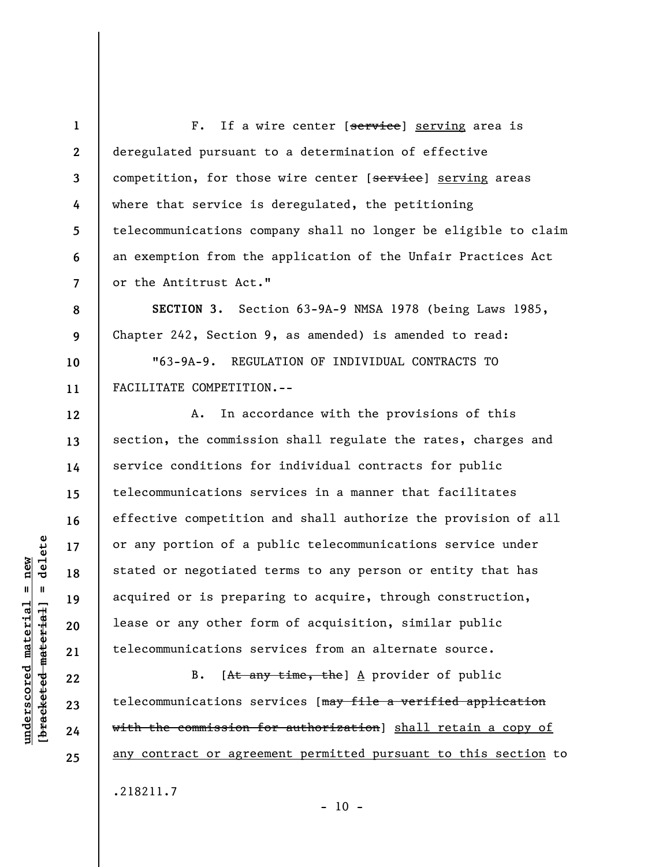**1 2 3 4 5 6 7**  F. If a wire center [service] serving area is deregulated pursuant to a determination of effective competition, for those wire center [service] serving areas where that service is deregulated, the petitioning telecommunications company shall no longer be eligible to claim an exemption from the application of the Unfair Practices Act or the Antitrust Act."

**SECTION 3.** Section 63-9A-9 NMSA 1978 (being Laws 1985, Chapter 242, Section 9, as amended) is amended to read:

"63-9A-9. REGULATION OF INDIVIDUAL CONTRACTS TO FACILITATE COMPETITION.--

A. In accordance with the provisions of this section, the commission shall regulate the rates, charges and service conditions for individual contracts for public telecommunications services in a manner that facilitates effective competition and shall authorize the provision of all or any portion of a public telecommunications service under stated or negotiated terms to any person or entity that has acquired or is preparing to acquire, through construction, lease or any other form of acquisition, similar public telecommunications services from an alternate source.

B. [At any time, the]  $\Delta$  provider of public telecommunications services [may file a verified application with the commission for authorization] shall retain a copy of any contract or agreement permitted pursuant to this section to

.218211.7

**23 24 25** 

**8** 

**9** 

**10** 

**11** 

**12** 

**13** 

**14** 

**15** 

**16** 

**17** 

**18** 

**19** 

**20** 

**21** 

**22** 

**underscored material = new [bracketed material] = delete**

 $underscored material = new$ 

delete

 $\mathbf{I}$ 

bracketed material

 $- 10 -$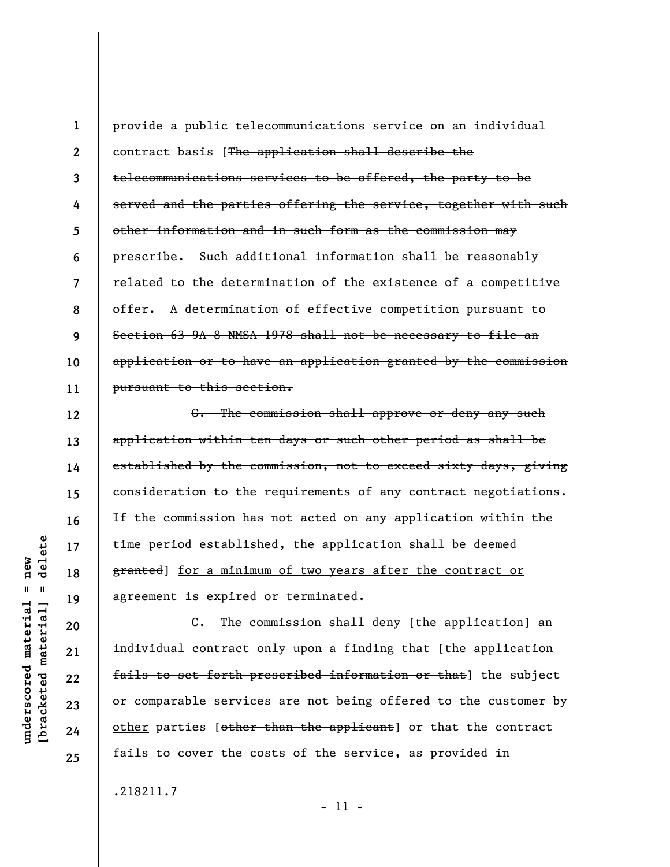**1 2 3 4 5 6 7 8 9 10 11**  provide a public telecommunications service on an individual contract basis [The application shall describe the telecommunications services to be offered, the party to be served and the parties offering the service, together with such other information and in such form as the commission may prescribe. Such additional information shall be reasonably related to the determination of the existence of a competitive offer. A determination of effective competition pursuant to Section 63-9A-8 NMSA 1978 shall not be necessary to file an application or to have an application granted by the commission pursuant to this section.

C. The commission shall approve or deny any such application within ten days or such other period as shall be established by the commission, not to exceed sixty days, giving consideration to the requirements of any contract negotiations. If the commission has not acted on any application within the time period established, the application shall be deemed granted] for a minimum of two years after the contract or agreement is expired or terminated.

C. The commission shall deny [the application] an individual contract only upon a finding that [the application fails to set forth prescribed information or that] the subject or comparable services are not being offered to the customer by other parties [other than the applicant] or that the contract fails to cover the costs of the service, as provided in

.218211.7

delete **[bracketed material] = delete**  $underscored material = new$ **underscored material = new**  $\mathbf{I}$ bracketed material] **12** 

**13** 

**14** 

**15** 

**16** 

**17** 

**18** 

**19** 

**20** 

**21** 

**22** 

**23** 

**24** 

**25** 

- 11 -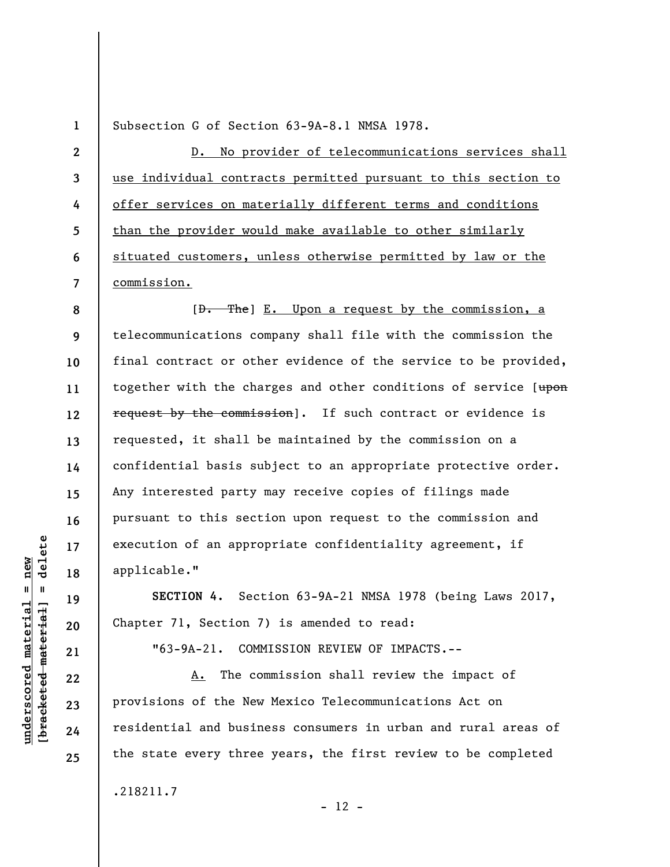Subsection G of Section 63-9A-8.1 NMSA 1978.

**2 3 4 5 6 7**  D. No provider of telecommunications services shall use individual contracts permitted pursuant to this section to offer services on materially different terms and conditions than the provider would make available to other similarly situated customers, unless otherwise permitted by law or the commission.

**8 9 10 11 12 13 14 15 16 17 18**   $[D.$  The  $E.$  Upon a request by the commission, a telecommunications company shall file with the commission the final contract or other evidence of the service to be provided, together with the charges and other conditions of service [upon request by the commission]. If such contract or evidence is requested, it shall be maintained by the commission on a confidential basis subject to an appropriate protective order. Any interested party may receive copies of filings made pursuant to this section upon request to the commission and execution of an appropriate confidentiality agreement, if applicable."

**SECTION 4.** Section 63-9A-21 NMSA 1978 (being Laws 2017, Chapter 71, Section 7) is amended to read:

"63-9A-21. COMMISSION REVIEW OF IMPACTS.--

A. The commission shall review the impact of provisions of the New Mexico Telecommunications Act on residential and business consumers in urban and rural areas of the state every three years, the first review to be completed

 $- 12 -$ 

.218211.7

 $b$ racketed material] = delete **[bracketed material] = delete**  $underscored material = new$ **underscored material = new**

**19** 

**20** 

**21** 

**22** 

**23** 

**24** 

**25**